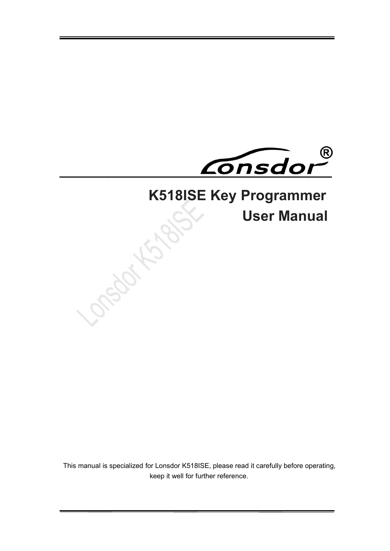

# **K518ISE Key Programmer<br>User Manual**

**User Manual**

This manual is specialized for Lonsdor K518ISE, please read it carefully before operating, keep it well for further reference.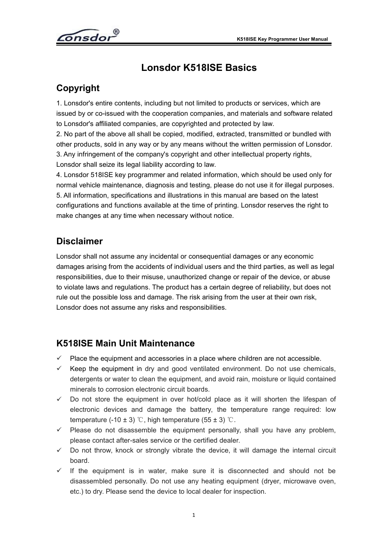<span id="page-1-1"></span>

# <span id="page-1-0"></span>**Lonsdor K518ISE Basics**

# **Copyright**

1. Lonsdor's entire contents, including but not limited to products or services, which are issued by or co-issued with the cooperation companies, and materials and software related to Lonsdor's affiliated companies, are copyrighted and protected by law.

2. No part of the above all shall be copied, modified, extracted, transmitted or bundled with other products, sold in any way or by any means without the written permission of Lonsdor. 3. Any infringement of the company's copyright and other intellectual property rights, Lonsdor shall seize its legal liability according to law.

4. Lonsdor 518ISE key programmer and related information, which should be used only for normal vehicle maintenance, diagnosis and testing, please do not use it for illegal purposes. 5. All information, specifications and illustrations in this manual are based on the latest configurations and functions available at the time of printing. Lonsdor reserves the right to make changes at any time when necessary without notice.

# **Disclaimer**

Lonsdor shall not assume any incidental or consequential damages or any economic damages arising from the accidents of individual users and the third parties, as well as legal responsibilities, due to their misuse, unauthorized change or repair of the device, or abuse to violate laws and regulations. The product has a certain degree of reliability, but does not rule out the possible loss and damage. The risk arising from the user at their own risk, Lonsdor does not assume any risks and responsibilities.

# **K518ISE Main Unit Maintenance**

- $\checkmark$  Place the equipment and accessories in a place where children are not accessible.
- $\checkmark$  Keep the equipment in dry and good ventilated environment. Do not use chemicals, detergents or water to clean the equipment, and avoid rain, moisture or liquid contained minerals to corrosion electronic circuit boards.
- $\checkmark$  Do not store the equipment in over hot/cold place as it will shorten the lifespan of electronic devices and damage the battery, the temperature range required: low temperature (-10  $\pm$  3) ℃, high temperature (55  $\pm$  3) ℃.
- $\checkmark$  Please do not disassemble the equipment personally, shall you have any problem, please contact after-sales service or the certified dealer.
- $\checkmark$  Do not throw, knock or strongly vibrate the device, it will damage the internal circuit board.
- $\checkmark$  If the equipment is in water, make sure it is disconnected and should not be disassembled personally. Do not use any heating equipment (dryer, microwave oven, etc.) to dry. Please send the device to local dealer for inspection.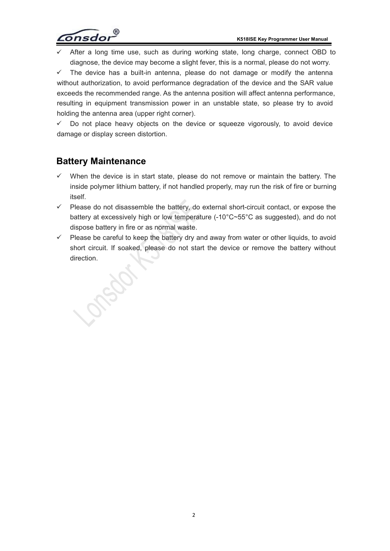

<span id="page-2-0"></span>After a long time use, such as during working state, long charge, connect OBD to diagnose, the device may become a slight fever, this is a normal, please do not worry.

 $\checkmark$  The device has a built-in antenna, please do not damage or modify the antenna without authorization, to avoid performance degradation of the device and the SAR value exceeds the recommended range. As the antenna position will affect antenna performance, resulting in equipment transmission power in an unstable state, so please try to avoid holding the antenna area (upper right corner).

 $\checkmark$  Do not place heavy objects on the device or squeeze vigorously, to avoid device damage or display screen distortion.

### **Battery Maintenance**

Jack

- When the device is in start state, please do not remove or maintain the battery. The inside polymer lithium battery, if not handled properly, may run the risk of fire or burning itself.
- $\checkmark$  Please do not disassemble the battery, do external short-circuit contact, or expose the battery at excessively high or low temperature (-10°C~55°C as suggested), and do not dispose battery in fire or as normal waste.
- $\checkmark$  Please be careful to keep the battery dry and away from water or other liquids, to avoid short circuit. If soaked, please do not start the device or remove the battery without direction.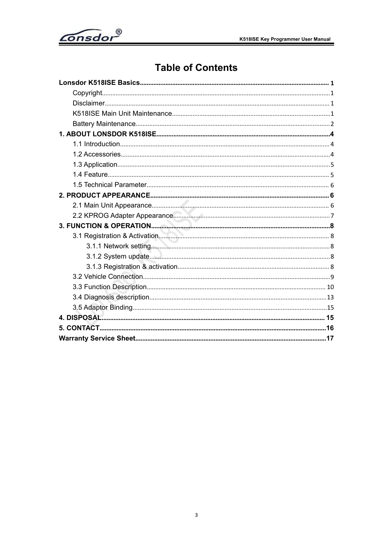<span id="page-3-0"></span>

# **Table of Contents**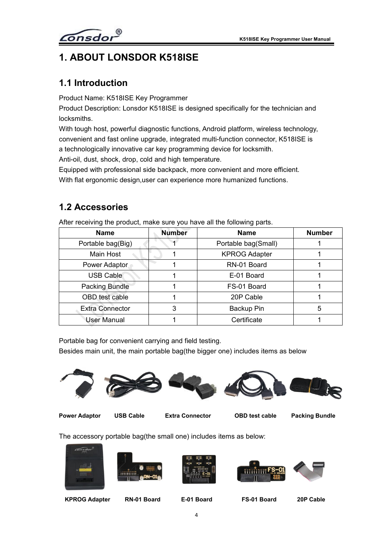

# <span id="page-4-0"></span>**1. ABOUT LONSDOR K518ISE**

## **1.1 Introduction**

Product Name: K518ISE Key Programmer

Product Description: Lonsdor K518ISE is designed specifically for the technician and locksmiths.

With tough host, powerful diagnostic functions, Android platform, wireless technology, convenient and fast online upgrade, integrated multi-function connector, K518ISE is a technologically innovative car key programming device for locksmith.

Anti-oil, dust, shock, drop, cold and high temperature.

Equipped with professional side backpack, more convenient and more efficient.

With flat ergonomic design,user can experience more humanized functions.

#### **1.2 Accessories**

| <b>Name</b>            | <b>Number</b> | <b>Name</b>          | <b>Number</b> |
|------------------------|---------------|----------------------|---------------|
| Portable bag(Big)      |               | Portable bag(Small)  |               |
| Main Host              |               | <b>KPROG Adapter</b> |               |
| Power Adaptor          |               | RN-01 Board          |               |
| <b>USB Cable</b>       |               | E-01 Board           |               |
| Packing Bundle         |               | FS-01 Board          |               |
| OBD test cable         |               | 20P Cable            |               |
| <b>Extra Connector</b> | 3             | Backup Pin           | 5             |
| User Manual            |               | Certificate          |               |

After receiving the product, make sure you have all the following parts.

Portable bag for convenient carrying and field testing.

Besides main unit, the main portable bag(the bigger one) includes items as below









**Power Adaptor USB Cable Extra Connector OBD test cable Packing Bundle**

The accessory portable bag(the small one) includes items as below:











**KPROG Adapter RN-01 Board E-01 Board FS-01 Board 20P Cable**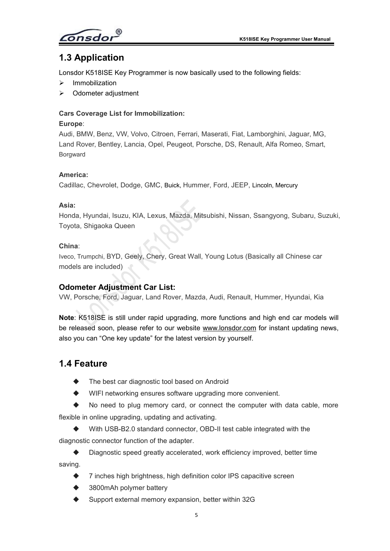onsdor

# <span id="page-5-0"></span>**1.3 Application**

Lonsdor K518ISE Key Programmer is now basically used to the following fields:

- $\triangleright$  Immobilization
- Odometer adjustment

#### **Cars Coverage List for Immobilization:**

#### **Europe**:

Audi, BMW, Benz, VW, Volvo, Citroen, Ferrari, Maserati, Fiat, Lamborghini, Jaguar, MG, Land Rover, Bentley, Lancia, Opel, Peugeot, Porsche, DS, Renault, Alfa Romeo, Smart, Borgward

#### **America:**

Cadillac, Chevrolet, Dodge, GMC, Buick, Hummer, Ford, JEEP, Lincoln, Mercury

#### **Asia:**

Honda, Hyundai, Isuzu, KIA, Lexus, Mazda, Mitsubishi, Nissan, Ssangyong, Subaru, Suzuki, Toyota, Shigaoka Queen

#### **China**:

Iveco, Trumpchi, BYD, Geely, Chery, Great Wall, Young Lotus (Basically all Chinese car models are included)

#### **Odometer Adjustment Car List:**

VW, Porsche, Ford, Jaguar, Land Rover, Mazda, Audi, Renault, Hummer, Hyundai, Kia

**Note**: K518ISE is still under rapid upgrading, more functions and high end car models will be released soon, please refer to our website [www.lonsdor.com](http://www.lonsdor.com) for instant updating news, also you can "One key update" for the latest version by yourself.

#### **1.4 Feature**

- The best car diagnostic tool based on Android
- WIFI networking ensures software upgrading more convenient.

 No need to plug memory card, or connect the computer with data cable, more flexible in online upgrading, updating and activating.

 $\blacklozenge$  With USB-B2.0 standard connector, OBD-II test cable integrated with the diagnostic connector function of the adapter.

◆ Diagnostic speed greatly accelerated, work efficiency improved, better time saving.

- ◆ 7 inches high brightness, high definition color IPS capacitive screen
- 3800mAh polymer battery
- Support external memory expansion, better within 32G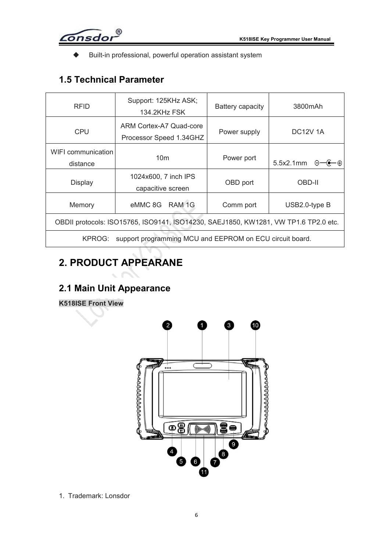$\widehat{\mathsf{Consdor}}^\mathsf{D}$ 

<span id="page-6-0"></span>Built-in professional, powerful operation assistant system

# **1.5 Technical Parameter**

| <b>RFID</b>                                                                         | Support: 125KHz ASK;<br>134.2KHz FSK               | Battery capacity | 3800mAh                                  |  |  |  |
|-------------------------------------------------------------------------------------|----------------------------------------------------|------------------|------------------------------------------|--|--|--|
| <b>CPU</b>                                                                          | ARM Cortex-A7 Quad-core<br>Processor Speed 1.34GHZ | Power supply     | <b>DC12V 1A</b>                          |  |  |  |
| WIFI communication<br>distance                                                      | 10 <sub>m</sub>                                    | Power port       | 5.5x2.1mm $\Theta$ $\leftarrow$ $\Theta$ |  |  |  |
| <b>Display</b>                                                                      | 1024x600, 7 inch IPS<br>capacitive screen          | OBD port         | OBD-II                                   |  |  |  |
| Memory                                                                              | eMMC 8G<br>RAM <sub>1G</sub>                       | Comm port        | USB2.0-type B                            |  |  |  |
| OBDII protocols: ISO15765, ISO9141, ISO14230, SAEJ1850, KW1281, VW TP1.6 TP2.0 etc. |                                                    |                  |                                          |  |  |  |
| support programming MCU and EEPROM on ECU circuit board.<br>KPROG:                  |                                                    |                  |                                          |  |  |  |

# **2. PRODUCT APPEARANE**

# **2.1 Main Unit Appearance**

#### **K518ISE Front View**



1. Trademark: Lonsdor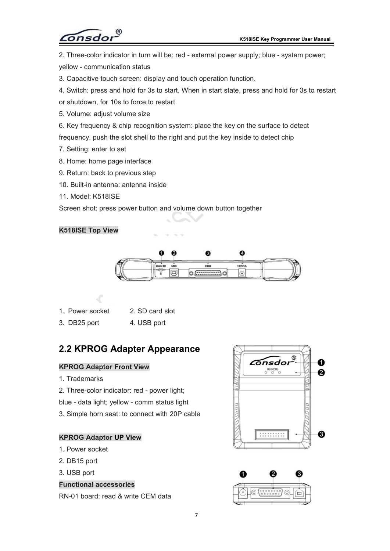

<span id="page-7-0"></span>2. Three-color indicator in turn will be: red - external power supply; blue - system power; yellow - communication status

- 3. Capacitive touch screen: display and touch operation function.
- 4. Switch: press and hold for 3s to start. When in start state, press and hold for 3s to restart
- or shutdown, for 10s to force to restart.
- 5. Volume: adjust volume size
- 6. Key frequency & chip recognition system: place the key on the surface to detect

frequency, push the slot shell to the right and put the key inside to detect chip

- 7. Setting: enter to set
- 8. Home: home page interface
- 9. Return: back to previous step
- 10. Built-in antenna: antenna inside
- 11. Model: K518ISE

Screen shot: press power button and volume down button together

#### **K518ISE Top View**



| 1. Power socket<br>2. SD card slot |
|------------------------------------|
|------------------------------------|

3. DB25 port 4. USB port

# **2.2 KPROG Adapter Appearance**

- 1. Trademarks
- 2. Three-color indicator: red power light;

blue - data light; yellow - comm status light

3. Simple horn seat: to connect with 20P cable

#### **KPROG Adaptor UP View**

- 1. Power socket
- 2. DB15 port
- 3. USB port

#### **Functional accessories**

RN-01 board: read & write CEM data



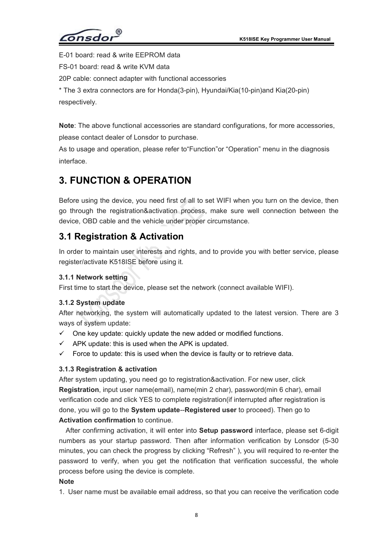$\sigma$ nsdo

<span id="page-8-0"></span>E-01 board: read & write EEPROM data

FS-01 board: read & write KVM data

20P cable: connect adapter with functional accessories

\* The 3 extra connectors are forHonda(3-pin), Hyundai/Kia(10-pin)and Kia(20-pin) respectively.

**Note**: The above functional accessories are standard configurations, for more accessories, please contact dealer of Lonsdor to purchase.

As to usage and operation, please refer to"Function"or "Operation" menu in the diagnosis interface.

# **3. FUNCTION & OPERATION**

Before using the device, you need first of all to set WIFI when you turn on the device, then go through the registration&activation process, make sure well connection between the device, OBD cable and the vehicle under proper circumstance.

### **3.1 Registration & Activation**

In order to maintain user interests and rights, and to provide you with better service, please register/activate K518ISE before using it.

#### **3.1.1 Network setting**

First time to start the device, please set the network (connect available WIFI).

#### **3.1.2 System update**

After networking, the system will automatically updated to the latest version. There are 3 ways of system update:

- $\checkmark$  One key update: quickly update the new added or modified functions.
- $\checkmark$  APK update: this is used when the APK is updated.
- $\checkmark$  Force to update: this is used when the device is faulty or to retrieve data.

#### **3.1.3 Registration & activation**

After system updating, you need go to registration&activation. For new user, click **Registration**, input user name(email), name(min 2 char), password(min 6 char), email verification code and click YES to complete registration(if interrupted after registration is done, you will go to the **System update**--**Registered user** to proceed). Then go to **Activation confirmation** to continue.

After confirming activation, it will enter into **Setup password** interface, please set 6-digit numbers as your startup password. Then after information verification by Lonsdor (5-30 minutes, you can check the progress by clicking "Refresh" ), you will required to re-enter the password to verify, when you get the notification that verification successful, the whole process before using the device is complete.

#### **Note**

1. User name must be available email address, so that you can receive the verification code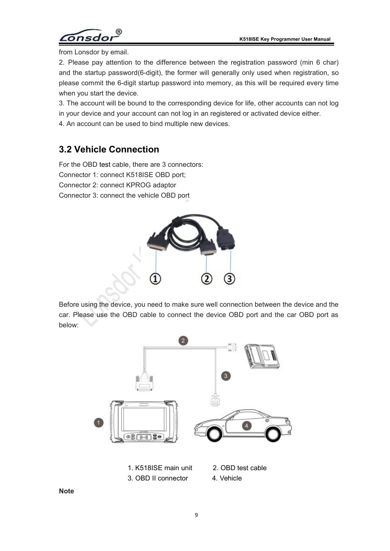

<span id="page-9-0"></span>from Lonsdor by email.

2. Please pay attention to the difference between the registration password (min 6 char) and the startup password(6-digit), the former will generally only used when registration, so please commit the 6-digit startup password into memory, as this will be required every time when you start the device.

3. The account will be bound to the corresponding device for life, other accounts can not log in your device and your account can not log in an registered or activated device either.

4. An account can be used to bind multiple new devices.

# **3.2 Vehicle Connection**

For the OBD test cable, there are 3 connectors: Connector 1: connect K518ISE OBD port; Connector 2: connect KPROG adaptor Connector 3: connect the vehicle OBD port



Before using the device, you need to make sure well connection between the device and the car. Please use the OBD cable to connect the device OBD port and the car OBD port as below:



**Note**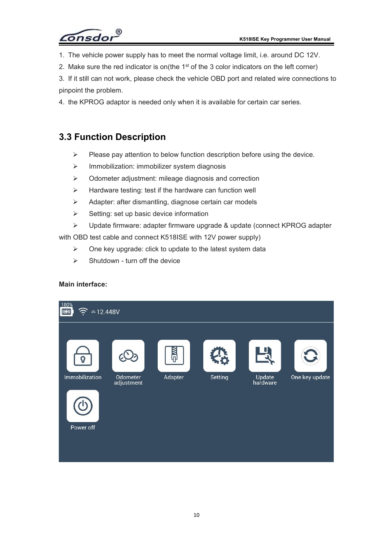

- <span id="page-10-0"></span>1. The vehicle power supply has to meet the normal voltage limit, i.e. around DC 12V.
- 2. Make sure the red indicator is on(the 1 $^{\rm st}$  of the 3 color indicators on the left corner)
- 3. If it still can not work, please check the vehicle OBD port and related wire connections to pinpoint the problem.
- 4. the KPROG adaptor is needed only when it is available for certain car series.

# **3.3 Function Description**

- $\triangleright$  Please pay attention to below function description before using the device.
- $\triangleright$  Immobilization: immobilizer system diagnosis
- $\triangleright$  Odometer adjustment: mileage diagnosis and correction
- $\triangleright$  Hardware testing: test if the hardware can function well
- Adapter: after dismantling, diagnose certain car models
- $\triangleright$  Setting: set up basic device information
- Update firmware: adapter firmware upgrade & update (connect KPROG adapter

with OBD test cable and connect K518ISE with 12V power supply)

- $\triangleright$  One key upgrade: click to update to the latest system data
- $\triangleright$  Shutdown turn off the device

#### **Main interface:**

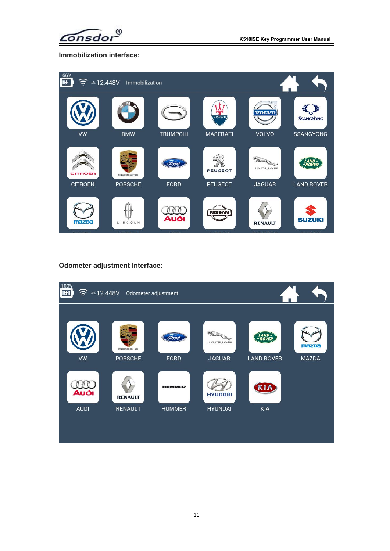

**Immobilization interface:**



**Odometer adjustment interface:**

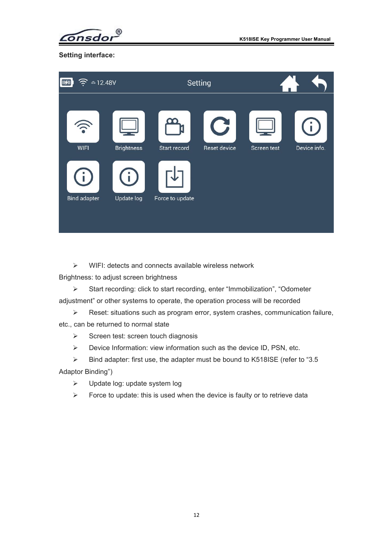$^{\circ}$ onsdor

**Setting interface:**

| $\sqrt{u}$          | $\textcircled{\texttt{a}}$ 12.48V<br>Setting |                 |                                           |             |                          |
|---------------------|----------------------------------------------|-----------------|-------------------------------------------|-------------|--------------------------|
| <b>WIFI</b>         | <b>Brightness</b>                            | Start record    | $\mathbf{G}% _{t}$<br><b>Reset device</b> | Screen test | $\bf(i)$<br>Device info. |
| <b>Bind adapter</b> | <b>Update log</b>                            | Force to update |                                           |             |                          |

 $\triangleright$  WIFI: detects and connects available wireless network

Brightness: to adjust screen brightness

 Start recording: click to start recording, enter "Immobilization", "Odometer adjustment" or other systems to operate, the operation process will be recorded

Reset: situations such as program error, system crashes, communication failure,

etc., can be returned to normal state

- $\triangleright$  Screen test: screen touch diagnosis
- $\triangleright$  Device Information: view information such as the device ID, PSN, etc.

 $\triangleright$  Bind adapter: first use, the adapter must be bound to K518ISE (refer to "3.5 Adaptor Binding")

- > Update log: update system log
- $\triangleright$  Force to update: this is used when the device is faulty or to retrieve data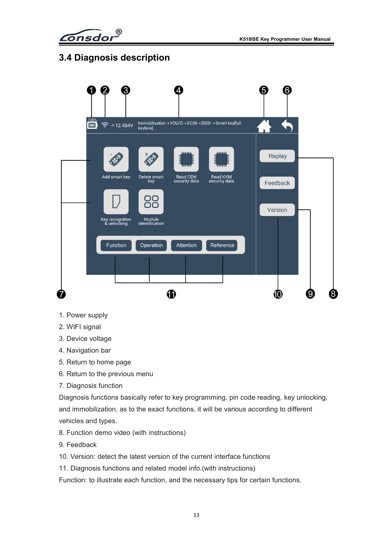$\widehat{\mathsf{onsdor}}^\mathsf{B}$ 

# <span id="page-13-0"></span>**3.4 Diagnosis description**



- 1. Power supply
- 2. WIFI signal
- 3. Device voltage
- 4. Navigation bar
- 5. Return to home page
- 6. Return to the previous menu
- 7. Diagnosis function

Diagnosis functions basically refer to key programming, pin code reading, key unlocking, and immobilization, as to the exact functions, it will be various according to different vehicles and types.

- 8. Function demo video (with instructions)
- 9. Feedback
- 10. Version: detect the latest version of the current interface functions
- 11. Diagnosis functions and related model info.(with instructions)

Function: to illustrate each function, and the necessary tips for certain functions.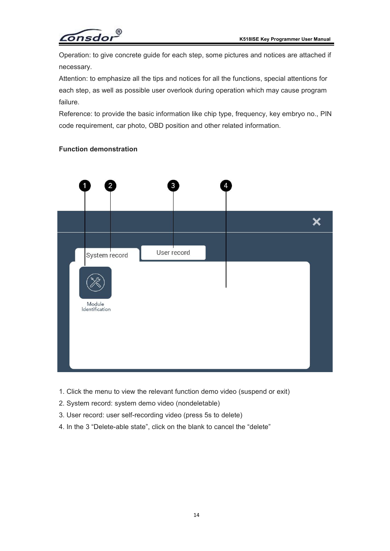

Operation: to give concrete guide foreach step, some pictures and notices are attached if necessary.

Attention: to emphasize all the tips and notices for all the functions, special attentions for each step, as well as possible user overlook during operation which may cause program failure.

Reference: to provide the basic information like chip type, frequency, key embryo no., PIN code requirement, car photo, OBD position and other related information.

#### **Function demonstration**



- 1. Click the menu to view the relevant function demo video (suspend or exit)
- 2. System record: system demo video (nondeletable)
- 3. User record: user self-recording video (press 5s to delete)
- 4. In the 3 "Delete-able state", click on the blank to cancel the "delete"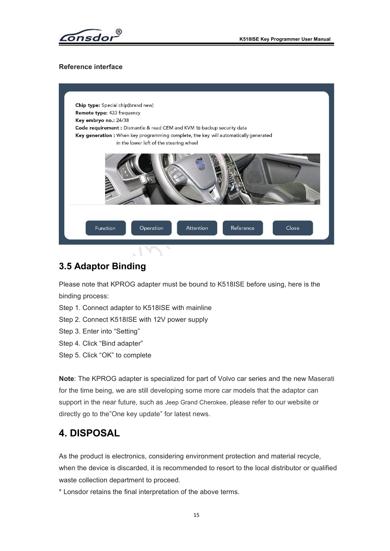

#### <span id="page-15-0"></span>**Reference interface**



#### **3.5 Adaptor Binding**

Please note that KPROG adapter must be bound to K518ISE before using, here is the binding process:

Step 1. Connect adapter to K518ISE with mainline

- Step 2. Connect K518ISE with 12V power supply
- Step 3. Enter into "Setting"
- Step 4. Click "Bind adapter"
- Step 5. Click "OK" to complete

**Note**: The KPROG adapter is specialized for part of Volvo car series and the new Maserati for the time being, we are still developing some more carmodels that the adaptor can support in the near future, such as Jeep Grand Cherokee, please refer to our website or directly go to the"One key update" for latest news.

# **4. DISPOSAL**

As the product is electronics, considering environment protection and material recycle, when the device is discarded, it is recommended to resort to the local distributor or qualified waste collection department to proceed.

\* Lonsdor retains the final interpretation of the above terms.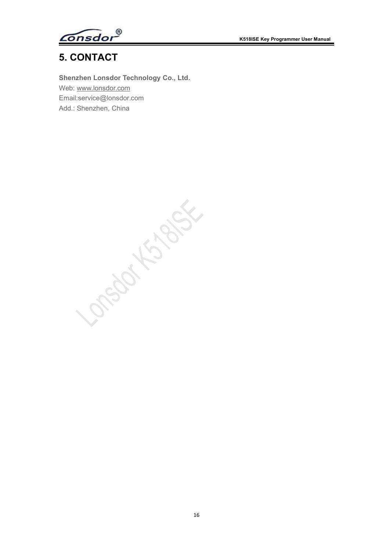$\widehat{\mathsf{Constor}}^\mathsf{D}$ 

# <span id="page-16-0"></span>**5. CONTACT**

**Shenzhen Lonsdor Technology Co., Ltd.** Web: [www.lonsdor.com](http://www.lonsdor.com) Email:service@lonsdor.com Add.: Shenzhen, China

OPOLITION S